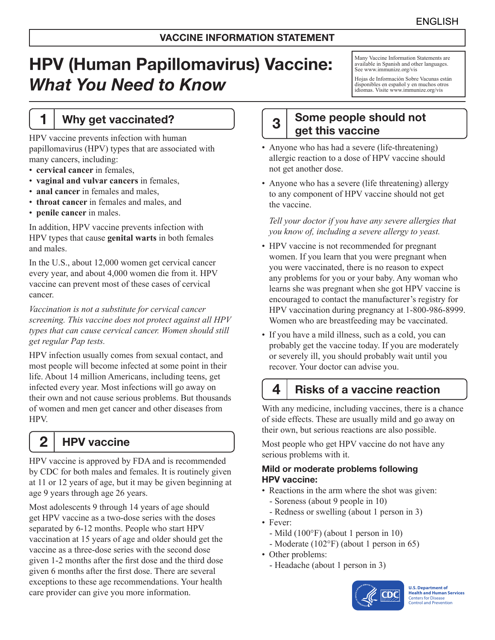# HPV (Human Papillomavirus) Vaccine: *What You Need to Know*

### 1 | Why get vaccinated?

HPV vaccine prevents infection with human papillomavirus (HPV) types that are associated with many cancers, including:

- **cervical cancer** in females,
- **vaginal and vulvar cancers** in females,
- **anal cancer** in females and males,
- **throat cancer** in females and males, and
- **penile cancer** in males.

In addition, HPV vaccine prevents infection with HPV types that cause **genital warts** in both females and males.

In the U.S., about 12,000 women get cervical cancer every year, and about 4,000 women die from it. HPV vaccine can prevent most of these cases of cervical cancer.

*Vaccination is not a substitute for cervical cancer screening. This vaccine does not protect against all HPV types that can cause cervical cancer. Women should still get regular Pap tests.*

HPV infection usually comes from sexual contact, and most people will become infected at some point in their life. About 14 million Americans, including teens, get infected every year. Most infections will go away on their own and not cause serious problems. But thousands of women and men get cancer and other diseases from HPV.

2 | HPV vaccine

HPV vaccine is approved by FDA and is recommended by CDC for both males and females. It is routinely given at 11 or 12 years of age, but it may be given beginning at age 9 years through age 26 years.

Most adolescents 9 through 14 years of age should get HPV vaccine as a two-dose series with the doses separated by 6-12 months. People who start HPV vaccination at 15 years of age and older should get the vaccine as a three-dose series with the second dose given 1-2 months after the first dose and the third dose given 6 months after the first dose. There are several exceptions to these age recommendations. Your health care provider can give you more information.

Many Vaccine Information Statements are available in Spanish and other languages. See [www.immunize.org/vis](http://www.immunize.org/vis)

Hojas de Información Sobre Vacunas están disponibles en español y en muchos otros idiomas. Visite [www.immunize.org/vis](http://www.immunize.org/vis)

# 3 Some people should not get this vaccine

- Anyone who has had a severe (life-threatening) allergic reaction to a dose of HPV vaccine should not get another dose.
- Anyone who has a severe (life threatening) allergy to any component of HPV vaccine should not get the vaccine.

*Tell your doctor if you have any severe allergies that you know of, including a severe allergy to yeast.*

- HPV vaccine is not recommended for pregnant women. If you learn that you were pregnant when you were vaccinated, there is no reason to expect any problems for you or your baby. Any woman who learns she was pregnant when she got HPV vaccine is encouraged to contact the manufacturer's registry for HPV vaccination during pregnancy at 1-800-986-8999. Women who are breastfeeding may be vaccinated.
- If you have a mild illness, such as a cold, you can probably get the vaccine today. If you are moderately or severely ill, you should probably wait until you recover. Your doctor can advise you.

# $4<sup>1</sup>$  Risks of a vaccine reaction

With any medicine, including vaccines, there is a chance of side effects. These are usually mild and go away on their own, but serious reactions are also possible.

Most people who get HPV vaccine do not have any serious problems with it.

#### Mild or moderate problems following HPV vaccine:

- Reactions in the arm where the shot was given:
	- Soreness (about 9 people in 10)
	- Redness or swelling (about 1 person in 3)
- Fever:
	- Mild (100°F) (about 1 person in 10)
- Moderate (102°F) (about 1 person in 65)
- Other problems:
	- Headache (about 1 person in 3)



**U.S. Department of Health and Human Services**  Centers for Disease Control and Prevention